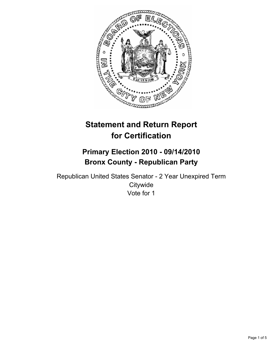

# **Statement and Return Report for Certification**

## **Primary Election 2010 - 09/14/2010 Bronx County - Republican Party**

Republican United States Senator - 2 Year Unexpired Term **Citywide** Vote for 1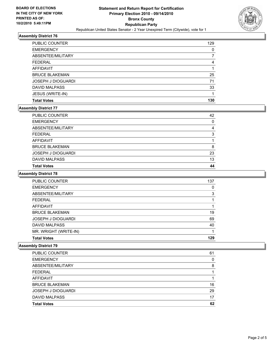

## **Assembly District 76**

| <b>PUBLIC COUNTER</b> | 129 |
|-----------------------|-----|
| <b>EMERGENCY</b>      | 0   |
| ABSENTEE/MILITARY     |     |
| <b>FEDERAL</b>        | 4   |
| AFFIDAVIT             |     |
| <b>BRUCE BLAKEMAN</b> | 25  |
| JOSEPH J DIOGUARDI    | 71  |
| <b>DAVID MALPASS</b>  | 33  |
| JESUS (WRITE-IN)      |     |
| <b>Total Votes</b>    | 130 |

## **Assembly District 77**

| <b>PUBLIC COUNTER</b>     | 42 |
|---------------------------|----|
| <b>EMERGENCY</b>          | 0  |
| ABSENTEE/MILITARY         | 4  |
| <b>FEDERAL</b>            | 3  |
| AFFIDAVIT                 |    |
| <b>BRUCE BLAKEMAN</b>     | 8  |
| <b>JOSEPH J DIOGUARDI</b> | 23 |
| <b>DAVID MALPASS</b>      | 13 |
| <b>Total Votes</b>        | 44 |

## **Assembly District 78**

| <b>PUBLIC COUNTER</b>     | 137 |
|---------------------------|-----|
| <b>EMERGENCY</b>          | 0   |
| ABSENTEE/MILITARY         | 3   |
| <b>FEDERAL</b>            |     |
| <b>AFFIDAVIT</b>          | 1   |
| <b>BRUCE BLAKEMAN</b>     | 19  |
| <b>JOSEPH J DIOGUARDI</b> | 69  |
| <b>DAVID MALPASS</b>      | 40  |
| MR. WRIGHT (WRITE-IN)     |     |
| <b>Total Votes</b>        | 129 |

#### **Assembly District 79**

| <b>Total Votes</b>        | 62 |
|---------------------------|----|
| <b>DAVID MALPASS</b>      | 17 |
| <b>JOSEPH J DIOGUARDI</b> | 29 |
| <b>BRUCE BLAKEMAN</b>     | 16 |
| <b>AFFIDAVIT</b>          |    |
| <b>FEDERAL</b>            |    |
| ABSENTEE/MILITARY         | 8  |
| <b>EMERGENCY</b>          | 0  |
| <b>PUBLIC COUNTER</b>     | 61 |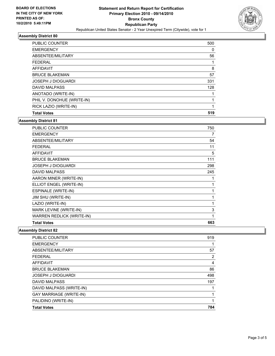

## **Assembly District 80**

| PUBLIC COUNTER             | 500 |
|----------------------------|-----|
| <b>EMERGENCY</b>           | 0   |
| ABSENTEE/MILITARY          | 56  |
| <b>FEDERAL</b>             |     |
| <b>AFFIDAVIT</b>           | 8   |
| <b>BRUCE BLAKEMAN</b>      | 57  |
| <b>JOSEPH J DIOGUARDI</b>  | 331 |
| <b>DAVID MALPASS</b>       | 128 |
| ANOTADO (WRITE-IN)         |     |
| PHIL V. DONOHUE (WRITE-IN) |     |
| RICK LAZIO (WRITE-IN)      |     |
| <b>Total Votes</b>         | 519 |

#### **Assembly District 81**

| PUBLIC COUNTER                   | 750          |
|----------------------------------|--------------|
| <b>EMERGENCY</b>                 | 7            |
| ABSENTEE/MILITARY                | 54           |
| <b>FEDERAL</b>                   | 11           |
| <b>AFFIDAVIT</b>                 | 5            |
| <b>BRUCE BLAKEMAN</b>            | 111          |
| <b>JOSEPH J DIOGUARDI</b>        | 298          |
| <b>DAVID MALPASS</b>             | 245          |
| AARON MINER (WRITE-IN)           | 1            |
| ELLIOT ENGEL (WRITE-IN)          | $\mathbf{1}$ |
| <b>ESPINALE (WRITE-IN)</b>       | 1            |
| JIM SHU (WRITE-IN)               | 1            |
| LAZIO (WRITE-IN)                 | 1            |
| MARK LEVINE (WRITE-IN)           | 3            |
| <b>WARREN REDLICK (WRITE-IN)</b> | 1            |
| <b>Total Votes</b>               | 663          |

**Assembly District 82**

| <b>PUBLIC COUNTER</b>          | 919 |
|--------------------------------|-----|
| <b>EMERGENCY</b>               |     |
| ABSENTEE/MILITARY              | 57  |
| <b>FEDERAL</b>                 | 2   |
| AFFIDAVIT                      | 4   |
| <b>BRUCE BLAKEMAN</b>          | 86  |
| <b>JOSEPH J DIOGUARDI</b>      | 498 |
| <b>DAVID MALPASS</b>           | 197 |
| DAVID MALPASS (WRITE-IN)       |     |
| <b>GAY MARRIAGE (WRITE-IN)</b> |     |
| PALIDINO (WRITE-IN)            |     |
| <b>Total Votes</b>             | 784 |
|                                |     |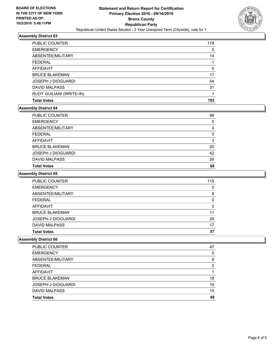

## **Assembly District 83**

| <b>PUBLIC COUNTER</b>     | 178 |
|---------------------------|-----|
| <b>EMERGENCY</b>          | 0   |
| ABSENTEE/MILITARY         | 14  |
| <b>FEDERAL</b>            |     |
| AFFIDAVIT                 | 0   |
| <b>BRUCE BLAKEMAN</b>     | 17  |
| <b>JOSEPH J DIOGUARDI</b> | 54  |
| <b>DAVID MALPASS</b>      | 31  |
| RUDY GUILIANI (WRITE-IN)  |     |
| <b>Total Votes</b>        | 103 |

#### **Assembly District 84**

| <b>PUBLIC COUNTER</b>     | 98 |
|---------------------------|----|
| <b>EMERGENCY</b>          | 0  |
| ABSENTEE/MILITARY         | 4  |
| <b>FEDERAL</b>            | 0  |
| <b>AFFIDAVIT</b>          | 3  |
| <b>BRUCE BLAKEMAN</b>     | 20 |
| <b>JOSEPH J DIOGUARDI</b> | 42 |
| <b>DAVID MALPASS</b>      | 26 |
| <b>Total Votes</b>        | 88 |

## **Assembly District 85**

| <b>Total Votes</b>        | 57  |
|---------------------------|-----|
| <b>DAVID MALPASS</b>      | 17  |
| <b>JOSEPH J DIOGUARDI</b> | 29  |
| <b>BRUCE BLAKEMAN</b>     | 11  |
| AFFIDAVIT                 | 0   |
| <b>FEDERAL</b>            | 0   |
| ABSENTEE/MILITARY         | 8   |
| <b>EMERGENCY</b>          | 0   |
| <b>PUBLIC COUNTER</b>     | 115 |

#### **Assembly District 86**

| <b>PUBLIC COUNTER</b>     | 47 |
|---------------------------|----|
| <b>EMERGENCY</b>          | 0  |
| ABSENTEE/MILITARY         | 8  |
| <b>FEDERAL</b>            | 0  |
| AFFIDAVIT                 |    |
| <b>BRUCE BLAKEMAN</b>     | 18 |
| <b>JOSEPH J DIOGUARDI</b> | 16 |
| <b>DAVID MALPASS</b>      | 15 |
| <b>Total Votes</b>        | 49 |